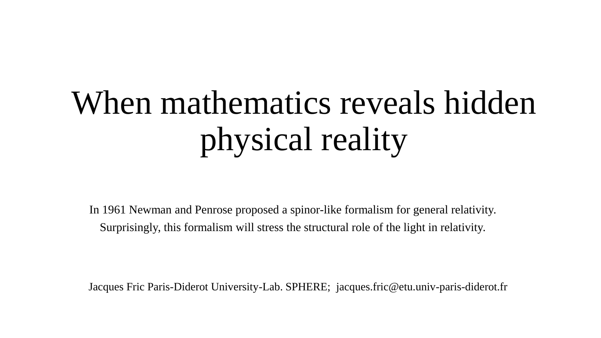# When mathematics reveals hidden physical reality

In 1961 Newman and Penrose proposed a spinor-like formalism for general relativity. Surprisingly, this formalism will stress the structural role of the light in relativity.

Jacques Fric Paris-Diderot University-Lab. SPHERE; jacques.fric@etu.univ-paris-diderot.fr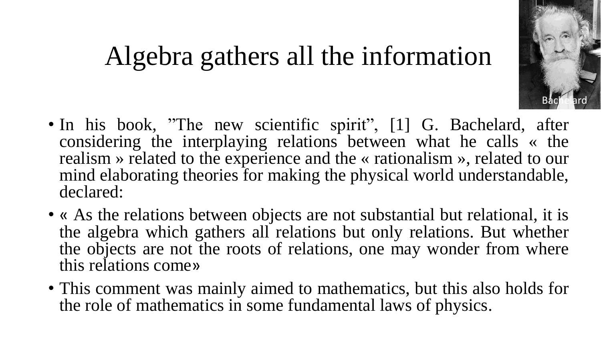# **Bachelard**

### Algebra gathers all the information

- In his book, "The new scientific spirit", [1] G. Bachelard, after considering the interplaying relations between what he calls « the realism » related to the experience and the « rationalism », related to our mind elaborating theories for making the physical world understandable, declared:
- « As the relations between objects are not substantial but relational, it is the algebra which gathers all relations but only relations. But whether the objects are not the roots of relations, one may wonder from where this relations come»
- This comment was mainly aimed to mathematics, but this also holds for the role of mathematics in some fundamental laws of physics.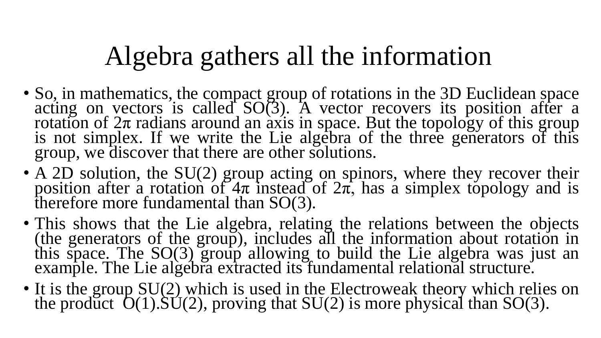# Algebra gathers all the information

- So, in mathematics, the compact group of rotations in the 3D Euclidean space acting on vectors is called  $SO(3)$ . A vector recovers its position after a rotation of  $2\pi$  radians around an axis in space. But the topology of this group is not simplex. If we write the Lie algebra of the three generators of this group, we discover that there are other solutions.
- A 2D solution, the SU(2) group acting on spinors, where they recover their position after a rotation of  $4\pi$  instead of  $2\pi$ , has a simplex topology and is therefore more fundamental than SO(3).
- This shows that the Lie algebra, relating the relations between the objects (the generators of the group), includes all the information about rotation in this space. The SO(3) group allowing to build the Lie algebra was just an example. The Lie algebra extracted its fundamental relational structure.
- It is the group SU(2) which is used in the Electroweak theory which relies on the product  $O(1)$ .  $SU(2)$ , proving that  $SU(2)$  is more physical than  $SO(3)$ .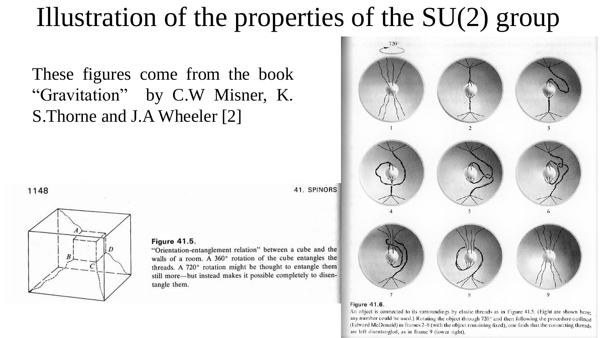### Illustration of the properties of the  $SU(2)$  group

These figures come from the book "Gravitation" by C.W Misner, K. S.Thorne and J.A Wheeler [2]

1148



#### **Figure 41.5.**

"Orientation-entanglement relation" between a cube and the walls of a room. A 360° rotation of the cube entangles the threads. A 720° rotation might be thought to entangle them still more—but instead makes it possible completely to disentangle them.



#### Figure 41.6.

An object is connected to its surroundings by elastic threads as in Figure 41.5. (Eight are shown here. any number could be used.) Rotating the object through 720° and then following the procedure outlined (Edward McDonald) in frames  $2-8$  (with the object remaining fixed), one finds that the connecting threads are left disentangled, as in frame 9 (lower right).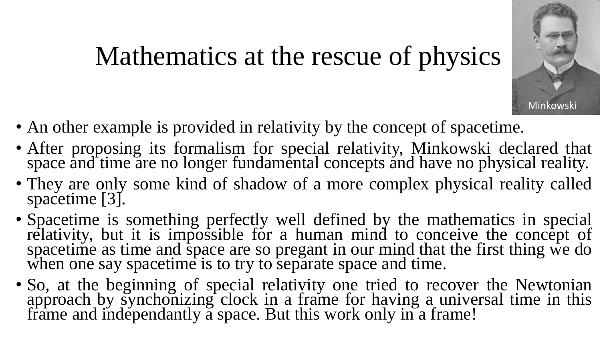# Minkowski

# Mathematics at the rescue of physics

- An other example is provided in relativity by the concept of spacetime.
- After proposing its formalism for special relativity, Minkowski declared that space and time are no longer fundamental concepts and have no physical reality.
- They are only some kind of shadow of a more complex physical reality called spacetime [3].
- Spacetime is something perfectly well defined by the mathematics in special relativity, but it is impossible for a human mind to conceive the concept of spacetime as time and space are so pregant in our mind that the first thing we do when one say spacetime is to try to separate space and time.
- So, at the beginning of special relativity one tried to recover the Newtonian approach by synchonizing clock in a frame for having a universal time in this frame and independantly a space. But this work only in a frame!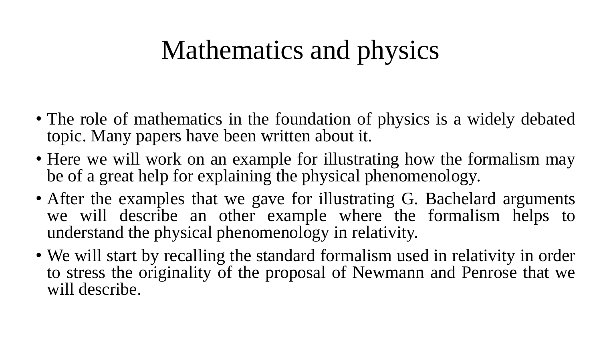# Mathematics and physics

- The role of mathematics in the foundation of physics is a widely debated topic. Many papers have been written about it.
- Here we will work on an example for illustrating how the formalism may be of a great help for explaining the physical phenomenology.
- After the examples that we gave for illustrating G. Bachelard arguments we will describe an other example where the formalism helps to understand the physical phenomenology in relativity.
- We will start by recalling the standard formalism used in relativity in order to stress the originality of the proposal of Newmann and Penrose that we will describe.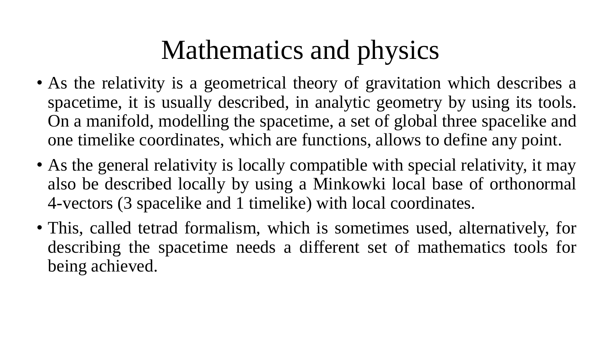# Mathematics and physics

- As the relativity is a geometrical theory of gravitation which describes a spacetime, it is usually described, in analytic geometry by using its tools. On a manifold, modelling the spacetime, a set of global three spacelike and one timelike coordinates, which are functions, allows to define any point.
- As the general relativity is locally compatible with special relativity, it may also be described locally by using a Minkowki local base of orthonormal 4-vectors (3 spacelike and 1 timelike) with local coordinates.
- This, called tetrad formalism, which is sometimes used, alternatively, for describing the spacetime needs a different set of mathematics tools for being achieved.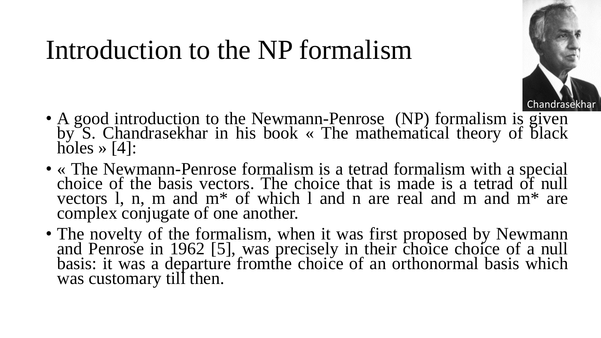### Introduction to the NP formalism



- A good introduction to the Newmann-Penrose (NP) formalism is given by S. Chandrasekhar in his book « The mathematical theory of black holes  $\gg$  [4]:
- « The Newmann-Penrose formalism is a tetrad formalism with a special choice of the basis vectors. The choice that is made is a tetrad of null vectors l, n, m and m\* of which l and n are real and m and m\* are complex conjugate of one another.
- The novelty of the formalism, when it was first proposed by Newmann and Penrose in 1962 [5], was precisely in their choice choice of a null basis: it was a departure fromthe choice of an orthonormal basis which was customary till then.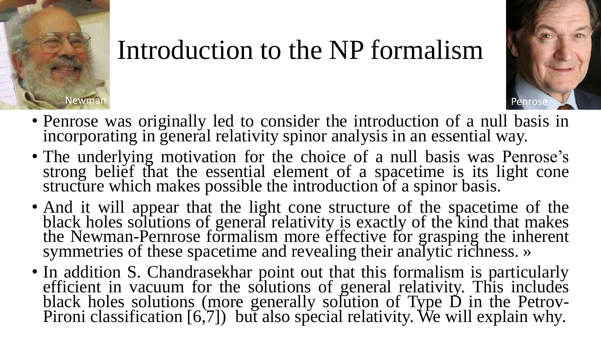

#### Introduction to the NP formalism



- Penrose was originally led to consider the introduction of a null basis in incorporating in general relativity spinor analysis in an essential way.
- The underlying motivation for the choice of a null basis was Penrose's strong belief that the essential element of a spacetime is its light cone structure which makes possible the introduction of a spinor basis.
- And it will appear that the light cone structure of the spacetime of the black holes solutions of general relativity is exactly of the kind that makes the Newman-Pernrose formalism more effective for grasping the inherent symmetries of these spacetime and revealing their analytic richness. »
- In addition S. Chandrasekhar point out that this formalism is particularly efficient in vacuum for the solutions of general relativity. This includes black holes solutions (more generally solution of Type D in the Petrov-Pironi classification [6,7]) but also special relativity. We will explain why.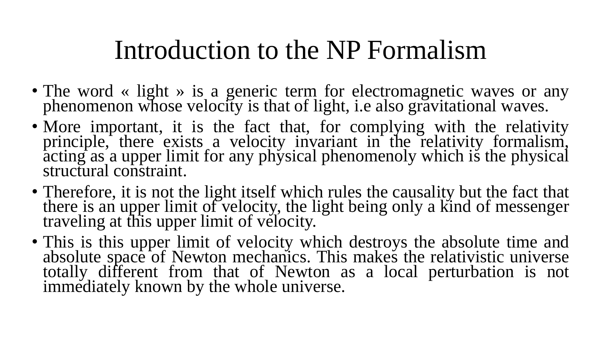#### Introduction to the NP Formalism

- The word « light » is a generic term for electromagnetic waves or any phenomenon whose velocity is that of light, i.e also gravitational waves.
- More important, it is the fact that, for complying with the relativity principle, there exists a velocity invariant in the relativity formalism,  $\frac{1}{4}$  as a upper limit for any physical phenomenoly which is the physical structural constraint.
- Therefore, it is not the light itself which rules the causality but the fact that there is an upper limit of velocity, the light being only a kind of messenger traveling at this upper limit of velocity.
- This is this upper limit of velocity which destroys the absolute time and absolute space of Newton mechanics. This makes the relativistic universe totally different from that of Newton as a local perturbation is not immediately known by the whole universe.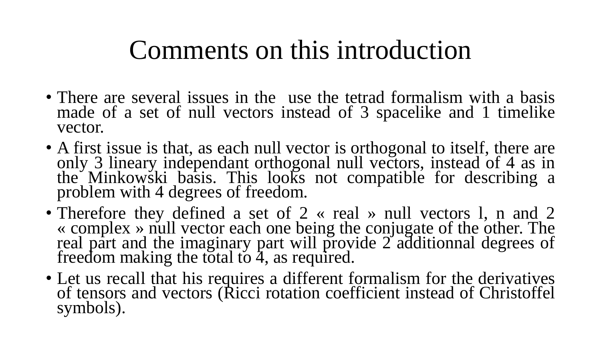#### Comments on this introduction

- There are several issues in the use the tetrad formalism with a basis made of a set of null vectors instead of 3 spacelike and 1 timelike vector.
- A first issue is that, as each null vector is orthogonal to itself, there are only 3 lineary independant orthogonal null vectors, instead of 4 as in the Minkowski basis. This looks not compatible for describing a problem with 4 degrees of freedom.
- Therefore they defined a set of 2 « real » null vectors 1, n and 2 « complex » null vector each one being the conjugate of the other. The real part and the imaginary part will provide 2 additionnal degrees of freedom making the total to 4, as required.
- Let us recall that his requires a different formalism for the derivatives of tensors and vectors (Ricci rotation coefficient instead of Christoffel symbols).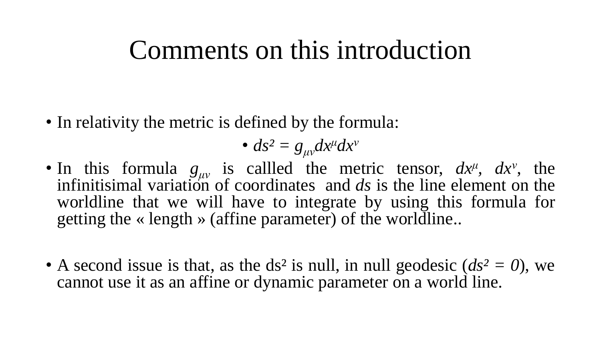#### Comments on this introduction

• In relativity the metric is defined by the formula:

• 
$$
ds^2 = g_{\mu\nu}dx^{\mu}dx^{\nu}
$$

- In this formula  $g_{\mu\nu}$  is callled the metric tensor,  $dx^{\mu}$ ,  $dx^{\nu}$ , the infinitisimal variation of coordinates and *ds* is the line element on the worldline that we will have to integrate by using this formula for getting the « length » (affine parameter) of the worldline..
- A second issue is that, as the ds<sup>2</sup> is null, in null geodesic  $(ds^2 = 0)$ , we cannot use it as an affine or dynamic parameter on a world line.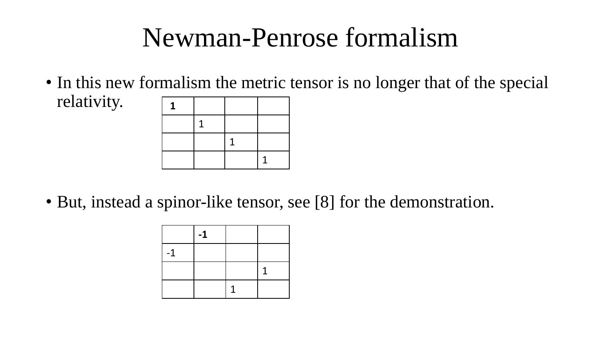#### Newman-Penrose formalism

• In this new formalism the metric tensor is no longer that of the special relativity. **-1**



• But, instead a spinor-like tensor, see [8] for the demonstration.

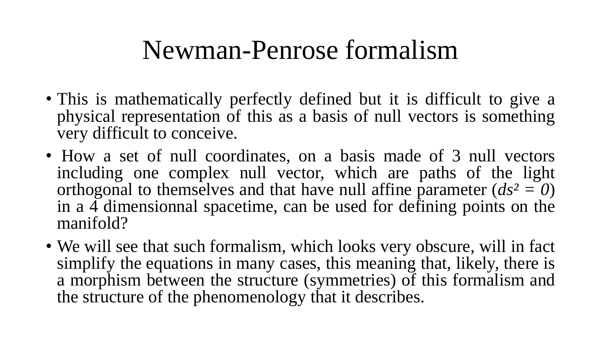#### Newman-Penrose formalism

- This is mathematically perfectly defined but it is difficult to give a physical representation of this as a basis of null vectors is something very difficult to conceive.
- How a set of null coordinates, on a basis made of 3 null vectors including one complex null vector, which are paths of the light orthogonal to themselves and that have null affine parameter  $(ds^2 = 0)$ in a  $\overline{4}$  dimensionnal spacetime, can be used for defining points on the manifold?
- We will see that such formalism, which looks very obscure, will in fact simplify the equations in many cases, this meaning that, likely, there is a morphism between the structure (symmetries) of this formalism and the structure of the phenomenology that it describes.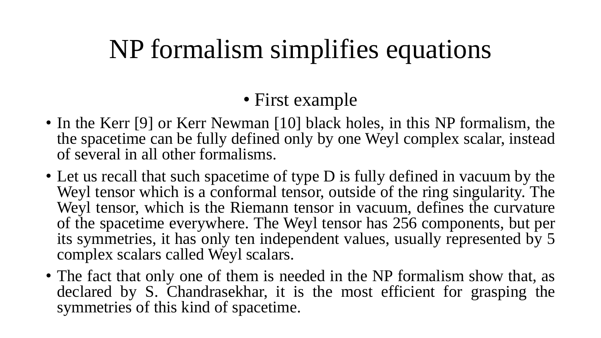# NP formalism simplifies equations

#### • First example

- In the Kerr [9] or Kerr Newman [10] black holes, in this NP formalism, the the spacetime can be fully defined only by one Weyl complex scalar, instead of several in all other formalisms.
- Let us recall that such spacetime of type D is fully defined in vacuum by the Weyl tensor which is a conformal tensor, outside of the ring singularity. The Weyl tensor, which is the Riemann tensor in vacuum, defines the curvature of the spacetime everywhere. The Weyl tensor has 256 components, but per its symmetries, it has only ten independent values, usually represented by 5 complex scalars called Weyl scalars.
- The fact that only one of them is needed in the NP formalism show that, as declared by S. Chandrasekhar, it is the most efficient for grasping the symmetries of this kind of spacetime.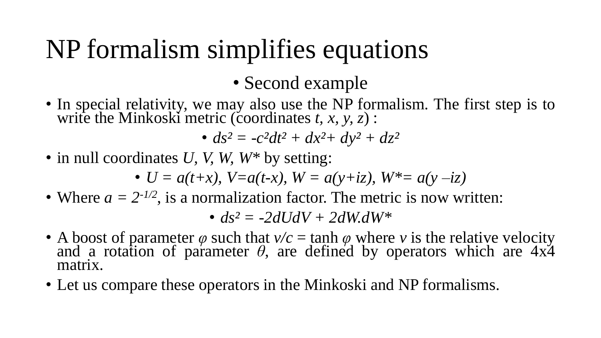# NP formalism simplifies equations

• Second example

• In special relativity, we may also use the NP formalism. The first step is to write the Minkoski metric (coordinates *t, x, y, z*) :

•  $ds^2 = -c^2dt^2 + dx^2 + dy^2 + dz^2$ 

• in null coordinates *U*, *V*, *W*, *W*\* by setting:

• 
$$
U = a(t+x), V=a(t-x), W = a(y+iz), W^* = a(y-iz)
$$

• Where  $a = 2^{-1/2}$ , is a normalization factor. The metric is now written:

•  $ds^2 = -2dUdV + 2dWdW^*$ 

- A boost of parameter  $\varphi$  such that  $v/c = \tanh \varphi$  where *v* is the relative velocity and a rotation of parameter  $\theta$ , are defined by operators which are  $4x\ddot{4}$ matrix.
- Let us compare these operators in the Minkoski and NP formalisms.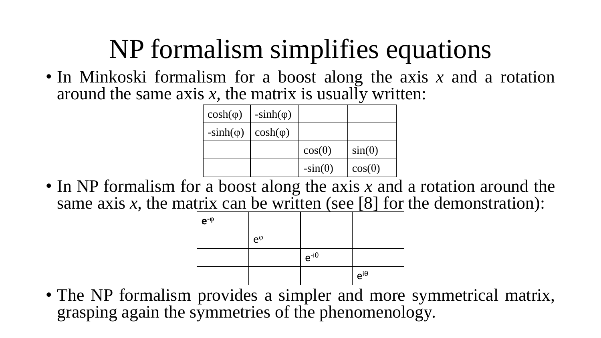# NP formalism simplifies equations

• In Minkoski formalism for a boost along the axis *x* and a rotation around the same axis  $x$ , the matrix is usually written:

| $cosh(\varphi)$  | $-sinh(\varphi)$ |                |               |
|------------------|------------------|----------------|---------------|
| $-sinh(\varphi)$ | $cosh(\varphi)$  |                |               |
|                  |                  | $cos(\theta)$  | $sin(\theta)$ |
|                  |                  | $-sin(\theta)$ | $cos(\theta)$ |

• In NP formalism for a boost along the axis x and a rotation around the same axis *x*, the matrix can be written (see [8] for the demonstration):

| $e^{-\varphi}$ |               |                |               |
|----------------|---------------|----------------|---------------|
|                | $e^{\varphi}$ |                |               |
|                |               | $e^{-i\theta}$ |               |
|                |               |                | $e^{i\theta}$ |

• The NP formalism provides a simpler and more symmetrical matrix, grasping again the symmetries of the phenomenology.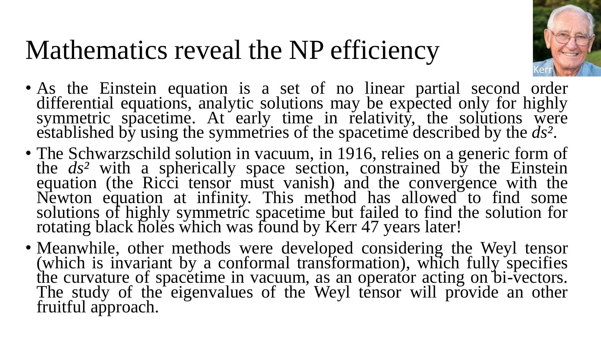

- As the Einstein equation is a set of no linear partial second order differential equations, analytic solutions may be expected only for highly symmetric spacetime. At early time in relativity, the solutions were established by using the symmetries of the spacetime described by the *ds²*.
- The Schwarzschild solution in vacuum, in 1916, relies on a generic form of the *ds²* with a spherically space section, constrained by the Einstein equation (the Ricci tensor must vanish) and the convergence with the Newton equation at infinity. This method has allowed to find some solutions of highly symmetric spacetime but failed to find the solution for rotating black holes which was found by Kerr 47 years later!
- Meanwhile, other methods were developed considering the Weyl tensor (which is invariant by a conformal transformation), which fully specifies the curvature of spacetime in vacuum, as an operator acting on bi-vectors. The study of the eigenvalues of the Weyl tensor will provide an other fruitful approach.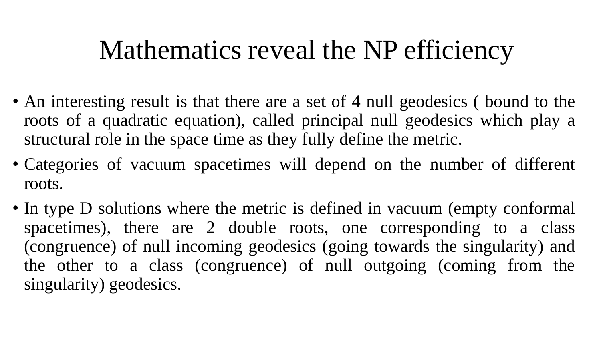- An interesting result is that there are a set of 4 null geodesics (bound to the roots of a quadratic equation), called principal null geodesics which play a structural role in the space time as they fully define the metric.
- Categories of vacuum spacetimes will depend on the number of different roots.
- In type D solutions where the metric is defined in vacuum (empty conformal spacetimes), there are 2 double roots, one corresponding to a class (congruence) of null incoming geodesics (going towards the singularity) and the other to a class (congruence) of null outgoing (coming from the singularity) geodesics.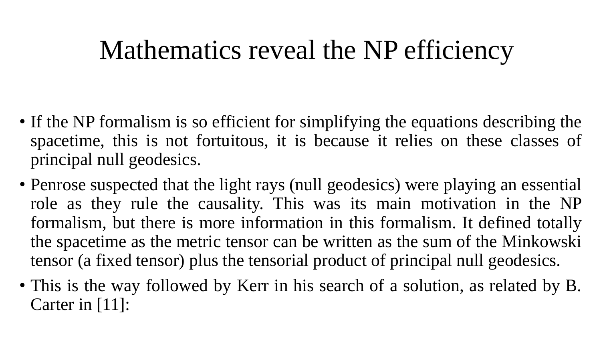- If the NP formalism is so efficient for simplifying the equations describing the spacetime, this is not fortuitous, it is because it relies on these classes of principal null geodesics.
- Penrose suspected that the light rays (null geodesics) were playing an essential role as they rule the causality. This was its main motivation in the NP formalism, but there is more information in this formalism. It defined totally the spacetime as the metric tensor can be written as the sum of the Minkowski tensor (a fixed tensor) plus the tensorial product of principal null geodesics.
- This is the way followed by Kerr in his search of a solution, as related by B. Carter in [11]: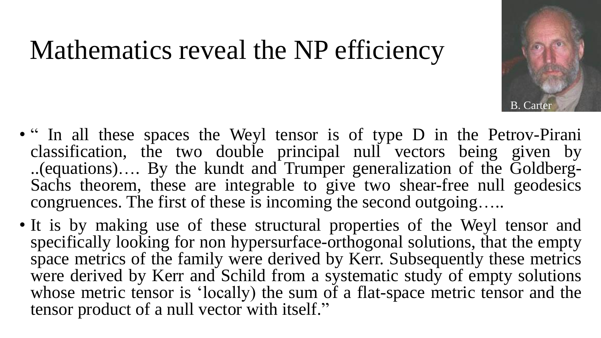- B. Carter
- " In all these spaces the Weyl tensor is of type D in the Petrov-Pirani classification, the two double principal null vectors being given by ..(equations)…. By the kundt and Trumper generalization of the Goldberg-Sachs theorem, these are integrable to give two shear-free null geodesics congruences. The first of these is incoming the second outgoing…..
- It is by making use of these structural properties of the Weyl tensor and specifically looking for non hypersurface-orthogonal solutions, that the empty space metrics of the family were derived by Kerr. Subsequently these metrics were derived by Kerr and Schild from a systematic study of empty solutions whose metric tensor is 'locally) the sum of a flat-space metric tensor and the tensor product of a null vector with itself."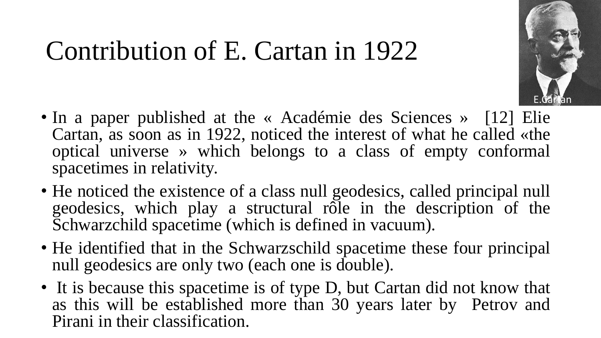### Contribution of E. Cartan in 1922



- In a paper published at the « Académie des Sciences » [12] Elie Cartan, as soon as in 1922, noticed the interest of what he called «the optical universe » which belongs to a class of empty conformal spacetimes in relativity.
- He noticed the existence of a class null geodesics, called principal null geodesics, which play a structural rôle in the description of the Schwarzchild spacetime (which is defined in vacuum).
- He identified that in the Schwarzschild spacetime these four principal null geodesics are only two (each one is double).
- It is because this spacetime is of type D, but Cartan did not know that as this will be established more than 30 years later by Petrov and Pirani in their classification.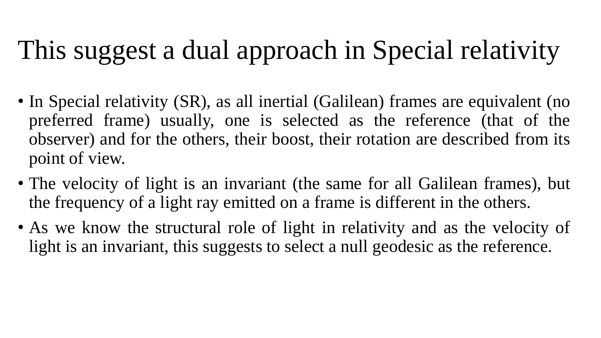# This suggest a dual approach in Special relativity

- In Special relativity (SR), as all inertial (Galilean) frames are equivalent (no preferred frame) usually, one is selected as the reference (that of the observer) and for the others, their boost, their rotation are described from its point of view.
- The velocity of light is an invariant (the same for all Galilean frames), but the frequency of a light ray emitted on a frame is different in the others.
- As we know the structural role of light in relativity and as the velocity of light is an invariant, this suggests to select a null geodesic as the reference.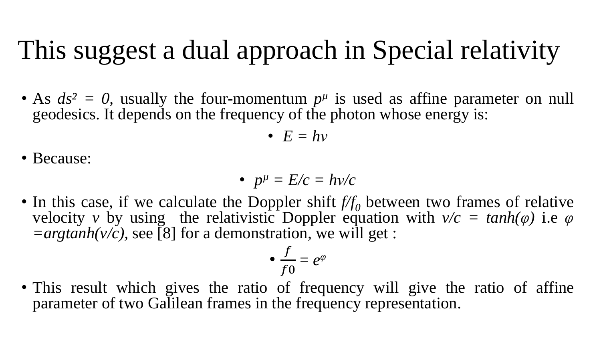# This suggest a dual approach in Special relativity

• As  $ds^2 = 0$ , usually the four-momentum  $p^{\mu}$  is used as affine parameter on null geodesics. It depends on the frequency of the photon whose energy is:

• 
$$
E = hv
$$

• Because:

• 
$$
p^{\mu} = E/c = hv/c
$$

• In this case, if we calculate the Doppler shift  $f/f_0$  between two frames of relative velocity *v* by using the relativistic Doppler equation with  $v/c = tanh(\varphi)$  i.e  $\varphi$  $=$ *argtanh(v/c)*, see [8] for a demonstration, we will get :

$$
\bullet \ \frac{f}{f0} = e^{\varphi}
$$

• This result which gives the ratio of frequency will give the ratio of affine parameter of two Galilean frames in the frequency representation.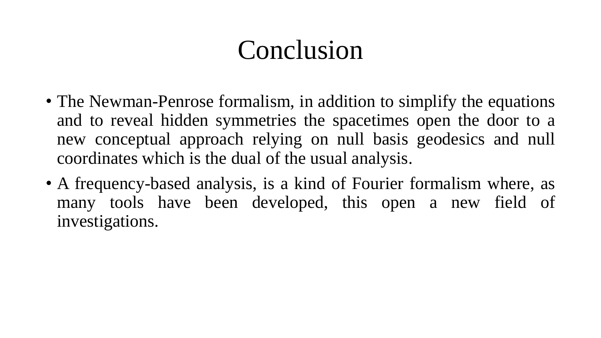### Conclusion

- The Newman-Penrose formalism, in addition to simplify the equations and to reveal hidden symmetries the spacetimes open the door to a new conceptual approach relying on null basis geodesics and null coordinates which is the dual of the usual analysis.
- A frequency-based analysis, is a kind of Fourier formalism where, as many tools have been developed, this open a new field of investigations.